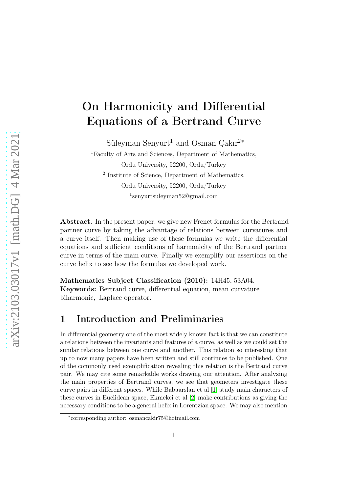## On Harmonicity and Differential Equations of a Bertrand Curve

Süleyman Şenyurt<sup>1</sup> and Osman Çakır<sup>2</sup>\*

<sup>1</sup>Faculty of Arts and Sciences, Department of Mathematics, Ordu University, 52200, Ordu/Turkey 2 Institute of Science, Department of Mathematics, Ordu University, 52200, Ordu/Turkey 1 senyurtsuleyman52@gmail.com

Abstract. In the present paper, we give new Frenet formulas for the Bertrand partner curve by taking the advantage of relations between curvatures and a curve itself. Then making use of these formulas we write the differential equations and sufficient conditions of harmonicity of the Bertrand partner curve in terms of the main curve. Finally we exemplify our assertions on the curve helix to see how the formulas we developed work.

Mathematics Subject Classification (2010): 14H45, 53A04.

Keywords: Bertrand curve, differential equation, mean curvature biharmonic, Laplace operator.

## 1 Introduction and Preliminaries

In differential geometry one of the most widely known fact is that we can constitute a relations between the invariants and features of a curve, as well as we could set the similar relations between one curve and another. This relation so interesting that up to now many papers have been written and still continues to be published. One of the commonly used exemplification revealing this relation is the Bertrand curve pair. We may cite some remarkable works drawing our attention. After analyzing the main properties of Bertrand curves, we see that geometers investigate these curve pairs in different spaces. While Babaarslan et al [\[1\]](#page-11-0) study main characters of these curves in Euclidean space, Ekmekci et al [\[2\]](#page-11-1) make contributions as giving the necessary conditions to be a general helix in Lorentzian space. We may also mention

<sup>∗</sup> corresponding author: osmancakir75@hotmail.com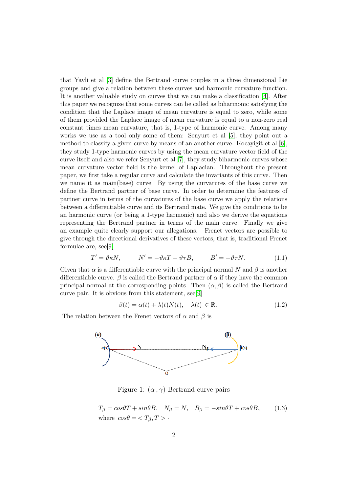that Yayli et al [\[3\]](#page-11-2) define the Bertrand curve couples in a three dimensional Lie groups and give a relation between these curves and harmonic curvature function. It is another valuable study on curves that we can make a classification [\[4\]](#page-11-3). After this paper we recognize that some curves can be called as biharmonic satisfying the condition that the Laplace image of mean curvature is equal to zero, while some of them provided the Laplace image of mean curvature is equal to a non-zero real constant times mean curvature, that is, 1-type of harmonic curve. Among many works we use as a tool only some of them: Senyurt et al [\[5\]](#page-11-4), they point out a method to classify a given curve by means of an another curve. Kocayigit et al [\[6\]](#page-11-5), they study 1-type harmonic curves by using the mean curvature vector field of the curve itself and also we refer Senyurt et al [\[7\]](#page-11-6), they study biharmonic curves whose mean curvature vector field is the kernel of Laplacian. Throughout the present paper, we first take a regular curve and calculate the invariants of this curve. Then we name it as main(base) curve. By using the curvatures of the base curve we define the Bertrand partner of base curve. In order to determine the features of partner curve in terms of the curvatures of the base curve we apply the relations between a differentiable curve and its Bertrand mate. We give the conditions to be an harmonic curve (or being a 1-type harmonic) and also we derive the equations representing the Bertrand partner in terms of the main curve. Finally we give an example quite clearly support our allegations. Frenet vectors are possible to give through the directional derivatives of these vectors, that is, traditional Frenet formulae are, see[\[9\]](#page-11-7)

<span id="page-1-0"></span>
$$
T' = \vartheta \kappa N, \qquad N' = -\vartheta \kappa T + \vartheta \tau B, \qquad B' = -\vartheta \tau N. \tag{1.1}
$$

Given that  $\alpha$  is a differentiable curve with the principal normal N and  $\beta$  is another differentiable curve.  $\beta$  is called the Bertrand partner of  $\alpha$  if they have the common principal normal at the corresponding points. Then  $(\alpha, \beta)$  is called the Bertrand curve pair. It is obvious from this statement, see[\[9\]](#page-11-7)

<span id="page-1-1"></span>
$$
\beta(t) = \alpha(t) + \lambda(t)N(t), \quad \lambda(t) \in \mathbb{R}.
$$
 (1.2)

The relation between the Frenet vectors of  $\alpha$  and  $\beta$  is



Figure 1:  $(\alpha, \gamma)$  Bertrand curve pairs

<span id="page-1-2"></span>
$$
T_{\beta} = \cos\theta T + \sin\theta B, \quad N_{\beta} = N, \quad B_{\beta} = -\sin\theta T + \cos\theta B, \quad (1.3)
$$
  
where  $\cos\theta = \langle T_{\beta}, T \rangle$ .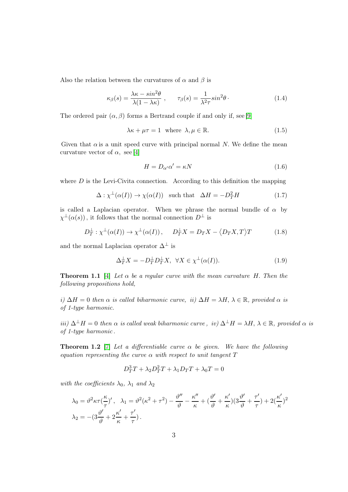Also the relation between the curvatures of  $\alpha$  and  $\beta$  is

<span id="page-2-0"></span>
$$
\kappa_{\beta}(s) = \frac{\lambda \kappa - \sin^2 \theta}{\lambda (1 - \lambda \kappa)} , \qquad \tau_{\beta}(s) = \frac{1}{\lambda^2 \tau} \sin^2 \theta . \tag{1.4}
$$

The ordered pair  $(\alpha, \beta)$  forms a Bertrand couple if and only if, see [\[9\]](#page-11-7)

<span id="page-2-1"></span>
$$
\lambda \kappa + \mu \tau = 1 \quad \text{where} \quad \lambda, \mu \in \mathbb{R}.\tag{1.5}
$$

Given that  $\alpha$  is a unit speed curve with principal normal N. We define the mean curvature vector of  $\alpha$ , see [\[4\]](#page-11-3)

<span id="page-2-3"></span>
$$
H = D_{\alpha'} \alpha' = \kappa N \tag{1.6}
$$

where  $D$  is the Levi-Civita connection. According to this definition the mapping

<span id="page-2-4"></span>
$$
\Delta : \chi^{\perp}(\alpha(I)) \to \chi(\alpha(I)) \quad \text{such that} \quad \Delta H = -D_T^2 H \tag{1.7}
$$

is called a Laplacian operator. When we phrase the normal bundle of  $\alpha$  by  $\chi^{\perp}(\alpha(s))$ , it follows that the normal connection  $D^{\perp}$  is

<span id="page-2-2"></span>
$$
D_T^{\perp} : \chi^{\perp}(\alpha(I)) \to \chi^{\perp}(\alpha(I)), \qquad D_T^{\perp}X = D_TX - \langle D_TX, T \rangle T \tag{1.8}
$$

and the normal Laplacian operator  $\Delta^{\perp}$  is

<span id="page-2-5"></span>
$$
\Delta_T^{\perp} X = -D_T^{\perp} D_T^{\perp} X, \ \ \forall X \in \chi^{\perp}(\alpha(I)). \tag{1.9}
$$

**Theorem 1.1** [\[4\]](#page-11-3) Let  $\alpha$  be a regular curve with the mean curvature H. Then the following propositions hold,

i)  $\Delta H = 0$  then  $\alpha$  is called biharmonic curve, ii)  $\Delta H = \lambda H$ ,  $\lambda \in \mathbb{R}$ , provided  $\alpha$  is of 1-type harmonic.

iii)  $\Delta^{\perp}H = 0$  then  $\alpha$  is called weak biharmonic curve, iv)  $\Delta^{\perp}H = \lambda H$ ,  $\lambda \in \mathbb{R}$ , provided  $\alpha$  is of 1-type harmonic .

**Theorem 1.2** [\[7\]](#page-11-6) Let a differentiable curve  $\alpha$  be given. We have the following equation representing the curve  $\alpha$  with respect to unit tangent  $T$ 

$$
D_T^3 T + \lambda_2 D_T^2 T + \lambda_1 D_T T + \lambda_0 T = 0
$$

with the coefficients  $\lambda_0$ ,  $\lambda_1$  and  $\lambda_2$ 

$$
\lambda_0 = \vartheta^2 \kappa \tau \left(\frac{\kappa}{\tau}\right)', \quad \lambda_1 = \vartheta^2 (\kappa^2 + \tau^2) - \frac{\vartheta''}{\vartheta} - \frac{\kappa''}{\kappa} + \left(\frac{\vartheta'}{\vartheta} + \frac{\kappa'}{\kappa}\right) \left(3\frac{\vartheta'}{\vartheta} + \frac{\tau'}{\tau}\right) + 2\left(\frac{\kappa'}{\kappa}\right)^2
$$

$$
\lambda_2 = -(3\frac{\vartheta'}{\vartheta} + 2\frac{\kappa'}{\kappa} + \frac{\tau'}{\tau}).
$$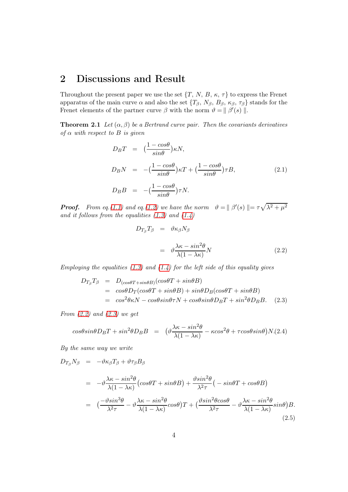## 2 Discussions and Result

Throughout the present paper we use the set  $\{T, N, B, \kappa, \tau\}$  to express the Frenet apparatus of the main curve  $\alpha$  and also the set  $\{T_{\beta}, N_{\beta}, B_{\beta}, \kappa_{\beta}, \tau_{\beta}\}\)$  stands for the Frenet elements of the partner curve  $\beta$  with the norm  $\vartheta = || \beta'(s) ||$ .

**Theorem 2.1** Let  $(\alpha, \beta)$  be a Bertrand curve pair. Then the covariants derivatives of  $\alpha$  with respect to B is given

<span id="page-3-4"></span>
$$
D_B T = \left(\frac{1 - \cos\theta}{\sin\theta}\right) \kappa N,
$$
  
\n
$$
D_B N = -\left(\frac{1 - \cos\theta}{\sin\theta}\right) \kappa T + \left(\frac{1 - \cos\theta}{\sin\theta}\right) \tau B,
$$
  
\n
$$
D_B B = -\left(\frac{1 - \cos\theta}{\sin\theta}\right) \tau N.
$$
\n(2.1)

**Proof.** From eq.[\(1.1\)](#page-1-0) and eq.[\(1.2\)](#page-1-1) we have the norm  $\vartheta = || \beta'(s) || = \tau \sqrt{\lambda^2 + \mu^2}$ and it follows from the equalities  $(1.3)$  and  $(1.4)$ 

<span id="page-3-0"></span>
$$
D_{T_{\beta}}T_{\beta} = \vartheta \kappa_{\beta} N_{\beta}
$$
  

$$
= \vartheta \frac{\lambda \kappa - \sin^2 \theta}{\lambda (1 - \lambda \kappa)} N
$$
 (2.2)

Employing the equalities  $(1.3)$  and  $(1.4)$  for the left side of this equality gives

<span id="page-3-1"></span>
$$
D_{T_{\beta}}T_{\beta} = D_{(cos\theta T + sin\theta B)}(cos\theta T + sin\theta B)
$$
  
=  $cos\theta D_T(cos\theta T + sin\theta B) + sin\theta D_B(cos\theta T + sin\theta B)$   
=  $cos^2\theta \kappa N - cos\theta sin\theta \tau N + cos\theta sin\theta D_B T + sin^2\theta D_B B.$  (2.3)

From  $(2.2)$  and  $(2.3)$  we get

<span id="page-3-3"></span>
$$
cos\theta sin\theta D_B T + sin^2\theta D_B B = \left(\theta \frac{\lambda \kappa - sin^2\theta}{\lambda (1 - \lambda \kappa)} - \kappa cos^2\theta + \tau cos\theta sin\theta\right) N.(2.4)
$$

By the same way we write

<span id="page-3-2"></span> $D_{T_{\beta}}N_{\beta} = -\vartheta \kappa_{\beta}T_{\beta} + \vartheta \tau_{\beta}B_{\beta}$ 

$$
= -\vartheta \frac{\lambda \kappa - \sin^2 \theta}{\lambda (1 - \lambda \kappa)} \left( \cos \theta T + \sin \theta B \right) + \frac{\vartheta \sin^2 \theta}{\lambda^2 \tau} \left( -\sin \theta T + \cos \theta B \right)
$$
  

$$
= \left( \frac{-\vartheta \sin^3 \theta}{\lambda^2 \tau} - \vartheta \frac{\lambda \kappa - \sin^2 \theta}{\lambda (1 - \lambda \kappa)} \cos \theta \right) T + \left( \frac{\vartheta \sin^2 \theta \cos \theta}{\lambda^2 \tau} - \vartheta \frac{\lambda \kappa - \sin^2 \theta}{\lambda (1 - \lambda \kappa)} \sin \theta \right) B.
$$
(2.5)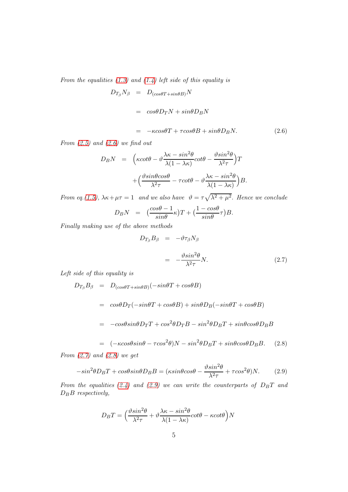From the equalities  $(1.3)$  and  $(1.4)$  left side of this equality is

<span id="page-4-0"></span>
$$
D_{T_{\beta}}N_{\beta} = D_{(cos\theta T + sin\theta B)}N
$$
  
=  $cos\theta D_{T}N + sin\theta D_{B}N$   
=  $-\kappa cos\theta T + \tau cos\theta B + sin\theta D_{B}N.$  (2.6)

From  $(2.5)$  and  $(2.6)$  we find out

$$
D_B N = \left(\kappa \cot \theta - \vartheta \frac{\lambda \kappa - \sin^2 \theta}{\lambda (1 - \lambda \kappa)} \cot \theta - \frac{\vartheta \sin^2 \theta}{\lambda^2 \tau}\right) T + \left(\frac{\vartheta \sin \theta \cos \theta}{\lambda^2 \tau} - \tau \cot \theta - \vartheta \frac{\lambda \kappa - \sin^2 \theta}{\lambda (1 - \lambda \kappa)}\right) B.
$$

From eq.[\(1.5\)](#page-2-1),  $\lambda \kappa + \mu \tau = 1$  and we also have  $\vartheta = \tau \sqrt{\lambda^2 + \mu^2}$ . Hence we conclude

$$
D_B N = \left(\frac{\cos\theta - 1}{\sin\theta}\kappa\right)T + \left(\frac{1 - \cos\theta}{\sin\theta}\tau\right)B.
$$

Finally making use of the above methods

<span id="page-4-1"></span>
$$
D_{T_{\beta}}B_{\beta} = -\vartheta \tau_{\beta} N_{\beta}
$$

$$
= -\frac{\vartheta \sin^2 \theta}{\lambda^2 \tau} N. \tag{2.7}
$$

Left side of this equality is

<span id="page-4-2"></span>
$$
D_{T_{\beta}}B_{\beta} = D_{(cos\theta T + sin\theta B)}(-sin\theta T + cos\theta B)
$$
  
=  $cos\theta D_T(-sin\theta T + cos\theta B) + sin\theta D_B(-sin\theta T + cos\theta B)$   
=  $-cos\theta sin\theta D_T T + cos^2\theta D_T B - sin^2\theta D_B T + sin\theta cos\theta D_B B$ 

$$
= (-\kappa \cos\theta \sin\theta - \tau \cos^2\theta)N - \sin^2\theta D_B T + \sin\theta \cos\theta D_B B. \quad (2.8)
$$

From  $(2.7)$  and  $(2.8)$  we get

<span id="page-4-3"></span>
$$
-\sin^2\theta D_B T + \cos\theta \sin\theta D_B B = (\kappa \sin\theta \cos\theta - \frac{\vartheta \sin^2\theta}{\lambda^2 \tau} + \tau \cos^2\theta)N. \tag{2.9}
$$

From the equalities [\(2.4\)](#page-3-3) and [\(2.9\)](#page-4-3) we can write the counterparts of  $D<sub>B</sub>T$  and  $D_B B$  respectively,

$$
D_B T = \left(\frac{\vartheta \sin^2 \theta}{\lambda^2 \tau} + \vartheta \frac{\lambda \kappa - \sin^2 \theta}{\lambda (1 - \lambda \kappa)} \cot \theta - \kappa \cot \theta\right)N
$$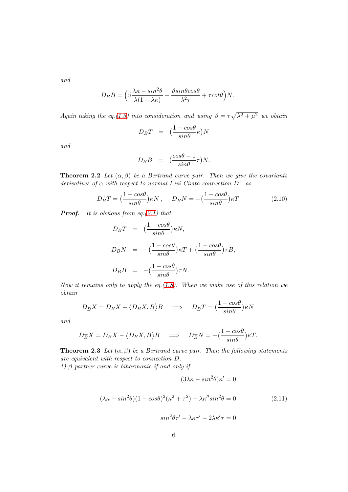and

$$
D_B B = \left(\vartheta \frac{\lambda \kappa - \sin^2 \theta}{\lambda (1 - \lambda \kappa)} - \frac{\vartheta \sin \theta \cos \theta}{\lambda^2 \tau} + \tau \cot \theta\right) N.
$$

Again taking the eq.[\(1.5\)](#page-2-1) into consideration and using  $\vartheta = \tau \sqrt{\lambda^2 + \mu^2}$  we obtain

$$
D_B T = \left(\frac{1 - \cos\theta}{\sin\theta}\kappa\right)N
$$

and

$$
D_B B = (\frac{\cos\theta - 1}{\sin\theta}\tau)N.
$$

**Theorem 2.2** Let  $(\alpha, \beta)$  be a Bertrand curve pair. Then we give the covariants derivatives of  $\alpha$  with respect to normal Levi-Civita connection  $D^{\perp}$  as

<span id="page-5-1"></span>
$$
D_B^{\perp}T = \left(\frac{1 - \cos\theta}{\sin\theta}\right)\kappa N, \quad D_B^{\perp}N = -\left(\frac{1 - \cos\theta}{\sin\theta}\right)\kappa T
$$
 (2.10)

**Proof.** It is obvious from eq.  $(2.1)$  that

$$
D_B T = \left(\frac{1 - \cos\theta}{\sin\theta}\right) \kappa N,
$$
  
\n
$$
D_B N = -\left(\frac{1 - \cos\theta}{\sin\theta}\right) \kappa T + \left(\frac{1 - \cos\theta}{\sin\theta}\right) \tau B,
$$
  
\n
$$
D_B B = -\left(\frac{1 - \cos\theta}{\sin\theta}\right) \tau N.
$$

Now it remains only to apply the eq.  $(1.8)$ . When we make use of this relation we obtain

$$
D_B^{\perp} X = D_B X - \langle D_B X, B \rangle B \implies D_B^{\perp} T = \left(\frac{1 - \cos \theta}{\sin \theta}\right) \kappa N
$$

and

$$
D_B^{\perp} X = D_B X - \langle D_B X, B \rangle B \quad \Longrightarrow \quad D_B^{\perp} N = -\left(\frac{1 - \cos \theta}{\sin \theta}\right) \kappa T.
$$

**Theorem 2.3** Let  $(\alpha, \beta)$  be a Bertrand curve pair. Then the following statements are equivalent with respect to connection D.

1)  $\beta$  partner curve is biharmonic if and only if

<span id="page-5-0"></span>
$$
(3\lambda\kappa - \sin^2\theta)\kappa' = 0
$$

$$
(\lambda \kappa - \sin^2 \theta)(1 - \cos \theta)^2 (\kappa^2 + \tau^2) - \lambda \kappa'' \sin^2 \theta = 0
$$
 (2.11)

$$
sin^2\theta\tau' - \lambda\kappa\tau' - 2\lambda\kappa'\tau = 0
$$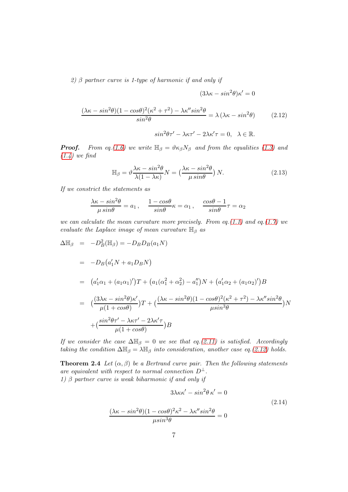2)  $\beta$  partner curve is 1-type of harmonic if and only if

$$
(3\lambda\kappa - \sin^2\theta)\kappa' = 0
$$

$$
\frac{(\lambda\kappa - \sin^2\theta)(1 - \cos\theta)^2(\kappa^2 + \tau^2) - \lambda\kappa''\sin^2\theta}{\sin^2\theta} = \lambda(\lambda\kappa - \sin^2\theta) \tag{2.12}
$$

<span id="page-6-0"></span>
$$
sin^2\theta\tau' - \lambda\kappa\tau' - 2\lambda\kappa'\tau = 0, \quad \lambda \in \mathbb{R}.
$$

**Proof.** From eq.[\(1.6\)](#page-2-3) we write  $\mathbb{H}_{\beta} = \vartheta \kappa_{\beta} N_{\beta}$  and from the equalities [\(1.3\)](#page-1-2) and  $(1.4)$  we find

$$
\mathbb{H}_{\beta} = \vartheta \frac{\lambda \kappa - \sin^2 \theta}{\lambda (1 - \lambda \kappa)} N = \left( \frac{\lambda \kappa - \sin^2 \theta}{\mu \sin \theta} \right) N. \tag{2.13}
$$

If we constrict the statements as

$$
\frac{\lambda \kappa - \sin^2 \theta}{\mu \sin \theta} = a_1, \quad \frac{1 - \cos \theta}{\sin \theta} \kappa = \alpha_1, \quad \frac{\cos \theta - 1}{\sin \theta} \tau = \alpha_2
$$

we can calculate the mean curvature more precisely. From eq.[\(1.1\)](#page-1-0) and eq.[\(1.7\)](#page-2-4) we evaluate the Laplace image of mean curvature  $\mathbb{H}_{\beta}$  as

$$
\Delta \mathbb{H}_{\beta} = -D_{B}^{2}(\mathbb{H}_{\beta}) = -D_{B}D_{B}(a_{1}N)
$$
  
\n
$$
= -D_{B}(a'_{1}N + a_{1}D_{B}N)
$$
  
\n
$$
= (a'_{1}\alpha_{1} + (a_{1}\alpha_{1})')T + (a_{1}(\alpha_{1}^{2} + \alpha_{2}^{2}) - a''_{1})N + (a'_{1}\alpha_{2} + (a_{1}\alpha_{2})')B
$$
  
\n
$$
= (\frac{(3\lambda\kappa - \sin^{2}\theta)\kappa'}{\mu(1 + \cos\theta)})T + (\frac{(\lambda\kappa - \sin^{2}\theta)(1 - \cos\theta)^{2}(\kappa^{2} + \tau^{2}) - \lambda\kappa''\sin^{2}\theta}{\mu\sin^{3}\theta})N
$$
  
\n
$$
+ (\frac{\sin^{2}\theta\tau' - \lambda\kappa\tau' - 2\lambda\kappa'\tau}{\mu(1 + \cos\theta)})B
$$

If we consider the case  $\Delta \mathbb{H}_{\beta} = 0$  we see that eq.[\(2.11\)](#page-5-0) is satisfied. Accordingly taking the condition  $\Delta \mathbb{H}_{\beta} = \lambda \mathbb{H}_{\beta}$  into consideration, another case eq.[\(2.12\)](#page-6-0) holds.

**Theorem 2.4** Let  $(\alpha, \beta)$  be a Bertrand curve pair. Then the following statements are equivalent with respect to normal connection  $D^{\perp}$ . 1)  $\beta$  partner curve is weak biharmonic if and only if

<span id="page-6-1"></span>
$$
3\lambda\kappa\kappa' - \sin^2\theta \,\kappa' = 0
$$
  

$$
\frac{(\lambda\kappa - \sin^2\theta)(1 - \cos\theta)^2\kappa^2 - \lambda\kappa''\sin^2\theta}{\mu\sin^3\theta} = 0
$$
 (2.14)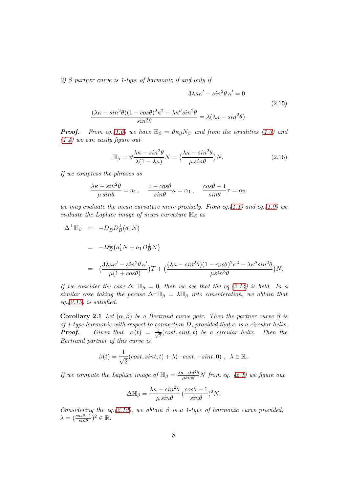2)  $\beta$  partner curve is 1-type of harmonic if and only if

$$
3\lambda\kappa\kappa' - \sin^2\theta \,\kappa' = 0
$$
  

$$
\frac{(\lambda\kappa - \sin^2\theta)(1 - \cos\theta)^2\kappa^2 - \lambda\kappa''\sin^2\theta}{\sin^2\theta} = \lambda(\lambda\kappa - \sin^2\theta)
$$
 (2.15)

**Proof.** From eq.[\(1.6\)](#page-2-3) we have  $\mathbb{H}_{\beta} = \vartheta \kappa_{\beta} N_{\beta}$  and from the equalities [\(1.3\)](#page-1-2) and  $(1.4)$  we can easily figure out

<span id="page-7-0"></span>
$$
\mathbb{H}_{\beta} = \vartheta \frac{\lambda \kappa - \sin^2 \theta}{\lambda (1 - \lambda \kappa)} N = \left( \frac{\lambda \kappa - \sin^2 \theta}{\mu \sin \theta} \right) N. \tag{2.16}
$$

If we compress the phrases as

$$
\frac{\lambda\kappa-sin^2\theta}{\mu\sin\theta}=a_1\,,\quad \frac{1-cos\theta}{sin\theta}\kappa=\alpha_1\,,\quad \frac{cos\theta-1}{sin\theta}\tau=\alpha_2
$$

we may evaluate the mean curvature more precisely. From eq.  $(1.1)$  and eq.  $(1.9)$  we evaluate the Laplace image of mean curvature  $\mathbb{H}_{\beta}$  as

$$
\Delta^{\perp} \mathbb{H}_{\beta} = -D_{B}^{\perp} D_{B}^{\perp} (a_{1} N)
$$
  
= 
$$
-D_{B}^{\perp} (a'_{1} N + a_{1} D_{B}^{\perp} N)
$$
  
= 
$$
(\frac{3\lambda \kappa \kappa' - \sin^{2} \theta \kappa'}{\mu (1 + \cos \theta)}) T + (\frac{(\lambda \kappa - \sin^{2} \theta)(1 - \cos \theta)^{2} \kappa^{2} - \lambda \kappa'' \sin^{2} \theta}{\mu \sin^{3} \theta}) N.
$$

If we consider the case  $\Delta^{\perp} \mathbb{H}_{\beta} = 0$ , then we see that the eq.[\(2.14\)](#page-6-1) is held. In a similar case taking the phrase  $\Delta^{\perp} \mathbb{H}_{\beta} = \lambda \mathbb{H}_{\beta}$  into consideration, we obtain that eq. $(2.15)$  is satisfied.

Corollary 2.1 Let  $(\alpha, \beta)$  be a Bertrand curve pair. Then the partner curve  $\beta$  is of 1-type harmonic with respect to connection D, provided that  $\alpha$  is a circular helix. **Proof.** Given that  $\alpha(t) = \frac{1}{\sqrt{2\pi}}$  $\frac{1}{2}(cost, sint, t)$  be a circular helix. Then the Bertrand partner of this curve is

$$
\beta(t) = \frac{1}{\sqrt{2}}(\cos t, \sin t, t) + \lambda(-\cos t, -\sin t, 0), \ \lambda \in \mathbb{R}.
$$

If we compute the Laplace image of  $\mathbb{H}_{\beta} = \frac{\lambda \kappa - \sin^2 \theta}{\mu \sin \theta} N$  from eq. [\(2.1\)](#page-3-4) we figure out

$$
\Delta \mathbb{H}_{\beta} = \frac{\lambda \kappa - \sin^2 \theta}{\mu \sin \theta} \left( \frac{\cos \theta - 1}{\sin \theta} \right)^2 N.
$$

Considering the eq.[\(2.12\)](#page-6-0), we obtain  $\beta$  is a 1-type of harmonic curve provided,  $\lambda = (\frac{cos\theta - 1}{sin\theta})^2 \in \mathbb{R}.$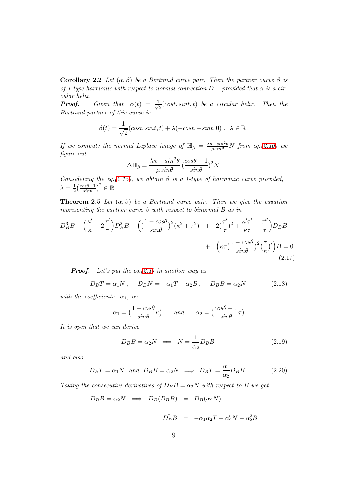Corollary 2.2 Let  $(\alpha, \beta)$  be a Bertrand curve pair. Then the partner curve  $\beta$  is of 1-type harmonic with respect to normal connection  $D^{\perp}$ , provided that  $\alpha$  is a circular helix.

**Proof.** Given that  $\alpha(t) = \frac{1}{\sqrt{2\pi}}$  $\frac{1}{2}(cost, sint, t)$  be a circular helix. Then the Bertrand partner of this curve is

$$
\beta(t) = \frac{1}{\sqrt{2}}(\cos t, \sin t, t) + \lambda(-\cos t, -\sin t, 0), \ \lambda \in \mathbb{R}.
$$

If we compute the normal Laplace image of  $\mathbb{H}_{\beta} = \frac{\lambda \kappa - \sin^2 \theta}{\mu \sin \theta} N$  from eq.[\(2.10\)](#page-5-1) we figure out

$$
\Delta \mathbb{H}_{\beta} = \frac{\lambda \kappa - \sin^2 \theta}{\mu \sin \theta} \left( \frac{\cos \theta - 1}{\sin \theta} \right)^2 N.
$$

Considering the eq.[\(2.15\)](#page-7-0), we obtain  $\beta$  is a 1-type of harmonic curve provided,  $\lambda = \frac{1}{2}$  $\frac{1}{2} \left( \frac{cos\theta - 1}{sin\theta} \right)^2 \in \mathbb{R}$ 

**Theorem 2.5** Let  $(\alpha, \beta)$  be a Bertrand curve pair. Then we give the equation representing the partner curve  $\beta$  with respect to binormal B as in

$$
D_B^3 B - \left(\frac{\kappa'}{\kappa} + 2\frac{\tau'}{\tau}\right) D_B^2 B + \left(\left(\frac{1 - \cos\theta}{\sin\theta}\right)^2 (\kappa^2 + \tau^2) + 2\left(\frac{\tau'}{\tau}\right)^2 + \frac{\kappa'\tau'}{\kappa\tau} - \frac{\tau''}{\tau}\right) D_B B + \left(\kappa\tau \left(\frac{1 - \cos\theta}{\sin\theta}\right)^2 \left(\frac{\tau}{\kappa}\right)'\right) B = 0.
$$
\n(2.17)

**Proof.** Let's put the eq. $(2.1)$  in another way as

<span id="page-8-0"></span>
$$
D_B T = \alpha_1 N, \quad D_B N = -\alpha_1 T - \alpha_2 B, \quad D_B B = \alpha_2 N \tag{2.18}
$$

with the coefficients  $\alpha_1, \alpha_2$ 

$$
\alpha_1 = \left(\frac{1 - \cos\theta}{\sin\theta}\kappa\right) \qquad \text{and} \qquad \alpha_2 = \left(\frac{\cos\theta - 1}{\sin\theta}\tau\right).
$$

It is open that we can derive

<span id="page-8-1"></span>
$$
D_B B = \alpha_2 N \implies N = \frac{1}{\alpha_2} D_B B \tag{2.19}
$$

and also

<span id="page-8-2"></span>
$$
D_B T = \alpha_1 N \quad and \quad D_B B = \alpha_2 N \implies D_B T = \frac{\alpha_1}{\alpha_2} D_B B. \tag{2.20}
$$

Taking the consecutive derivatives of  $D_B B = \alpha_2 N$  with respect to B we get

$$
D_B B = \alpha_2 N \implies D_B(D_B B) = D_B(\alpha_2 N)
$$

$$
D_B^2 B = -\alpha_1 \alpha_2 T + \alpha_2' N - \alpha_2^2 B
$$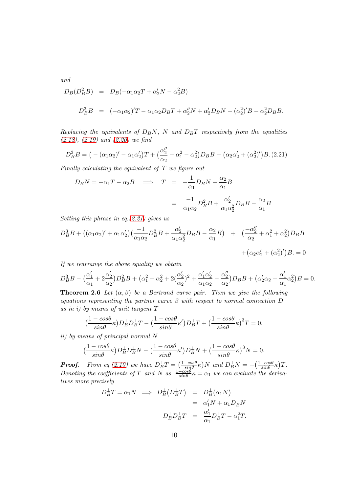and

$$
D_B(D_B^2 B) = D_B(-\alpha_1 \alpha_2 T + \alpha'_2 N - \alpha_2^2 B)
$$
  

$$
D_B^3 B = (-\alpha_1 \alpha_2)'T - \alpha_1 \alpha_2 D_B T + \alpha''_2 N + \alpha'_2 D_B N - (\alpha_2^2)'B - \alpha_2^2 D_B B.
$$

Replacing the equivalents of  $D_B N$ , N and  $D_B T$  respectively from the equalities  $(2.18), (2.19)$  $(2.18), (2.19)$  $(2.18), (2.19)$  and  $(2.20)$  we find

<span id="page-9-0"></span>
$$
D_B^3 B = (-(\alpha_1 \alpha_2)' - \alpha_1 \alpha_2')T + (\frac{\alpha_2''}{\alpha_2} - \alpha_1^2 - \alpha_2^2)D_B B - (\alpha_2 \alpha_2' + (\alpha_2')')B.(2.21)
$$

Finally calculating the equivalent of  $T$  we figure out

$$
D_B N = -\alpha_1 T - \alpha_2 B \implies T = -\frac{1}{\alpha_1} D_B N - \frac{\alpha_2}{\alpha_1} B
$$
  
= 
$$
\frac{-1}{\alpha_1 \alpha_2} D_B^2 B + \frac{\alpha_2'}{\alpha_1 \alpha_2^2} D_B B - \frac{\alpha_2}{\alpha_1} B.
$$

Setting this phrase in eq.[\(2.21\)](#page-9-0) gives us

$$
D_B^3 B + ((\alpha_1 \alpha_2)' + \alpha_1 \alpha_2') (\frac{-1}{\alpha_1 \alpha_2} D_B^2 B + \frac{\alpha_2'}{\alpha_1 \alpha_2^2} D_B B - \frac{\alpha_2}{\alpha_1} B) + (\frac{-\alpha_2''}{\alpha_2} + \alpha_1^2 + \alpha_2^2) D_B B + (\alpha_2 \alpha_2' + (\alpha_2^2)') B = 0
$$

If we rearrange the above equality we obtain

$$
D_B^3 B - \left(\frac{\alpha_1'}{\alpha_1} + 2\frac{\alpha_2'}{\alpha_2}\right) D_B^2 B + \left(\alpha_1^2 + \alpha_2^2 + 2\left(\frac{\alpha_2'}{\alpha_2}\right)^2 + \frac{\alpha_1'\alpha_2'}{\alpha_1\alpha_2} - \frac{\alpha_2''}{\alpha_2}\right) D_B B + \left(\alpha_2'\alpha_2 - \frac{\alpha_1'}{\alpha_1}\alpha_2^2\right) B = 0.
$$

**Theorem 2.6** Let  $(\alpha, \beta)$  be a Bertrand curve pair. Then we give the following equations representing the partner curve  $\beta$  with respect to normal connection  $D^{\perp}$ as in i) by means of unit tangent T

$$
\big(\frac{1-cos\theta}{sin\theta}\kappa\big)D_B^\perp D_B^\perp T-\big(\frac{1-cos\theta}{sin\theta}\kappa'\big)D_B^\perp T+\big(\frac{1-cos\theta}{sin\theta}\kappa\big)^3 T=0.
$$

ii) by means of principal normal N

$$
\left(\frac{1-\cos\theta}{\sin\theta}\kappa\right)D_B^{\perp}D_B^{\perp}N - \left(\frac{1-\cos\theta}{\sin\theta}\kappa'\right)D_B^{\perp}N + \left(\frac{1-\cos\theta}{\sin\theta}\kappa\right)^3N = 0.
$$

**Proof.** From eq.[\(2.10\)](#page-5-1) we have  $D_B^{\perp}T = \left(\frac{1-\cos\theta}{\sin\theta}\kappa\right)N$  and  $D_B^{\perp}N = -\left(\frac{1-\cos\theta}{\sin\theta}\kappa\right)T$ . Denoting the coefficients of T and N as  $\frac{1-cos\theta}{sin\theta} \kappa = \alpha_1$  we can evaluate the derivatives more precisely

$$
D_B^{\perp}T = \alpha_1 N \implies D_B^{\perp}(D_B^{\perp}T) = D_B^{\perp}(\alpha_1 N)
$$
  
=  $\alpha'_1 N + \alpha_1 D_B^{\perp} N$   

$$
D_B^{\perp} D_B^{\perp}T = \frac{\alpha'_1}{\alpha_1} D_B^{\perp}T - \alpha_1^2 T.
$$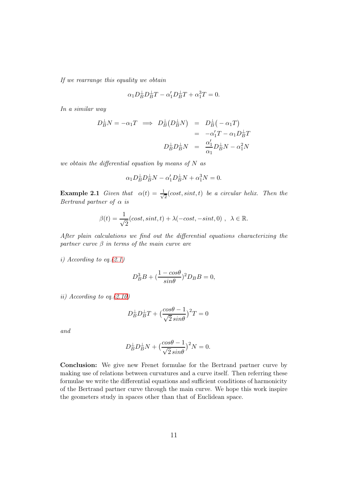If we rearrange this equality we obtain

$$
\alpha_1 D_B^{\perp} D_B^{\perp} T - \alpha_1' D_B^{\perp} T + \alpha_1^3 T = 0.
$$

In a similar way

$$
D_B^{\perp}N = -\alpha_1 T \implies D_B^{\perp}(D_B^{\perp}N) = D_B^{\perp}(-\alpha_1 T)
$$
  
=  $-\alpha'_1 T - \alpha_1 D_B^{\perp} T$   

$$
D_B^{\perp} D_B^{\perp} N = \frac{\alpha'_1}{\alpha_1} D_B^{\perp} N - \alpha_1^2 N
$$

we obtain the differential equation by means of  $N$  as

$$
\alpha_1 D_B^{\perp} D_B^{\perp} N - \alpha'_1 D_B^{\perp} N + \alpha_1^3 N = 0.
$$

**Example 2.1** Given that  $\alpha(t) = \frac{1}{\sqrt{2}}$  $\frac{1}{2}(cost, sint, t)$  be a circular helix. Then the Bertrand partner of  $\alpha$  is

$$
\beta(t) = \frac{1}{\sqrt{2}}(\cos t, \sin t, t) + \lambda(-\cos t, -\sin t, 0), \ \lambda \in \mathbb{R}.
$$

After plain calculations we find out the differential equations characterizing the partner curve  $\beta$  in terms of the main curve are

i) According to eq.  $(2.1)$ 

$$
D_B^3 B + \left(\frac{1 - \cos\theta}{\sin\theta}\right)^2 D_B B = 0,
$$

ii) According to eq.[\(2.10\)](#page-5-1)

$$
D_B^{\perp}D_B^{\perp}T + \left(\frac{\cos\theta - 1}{\sqrt{2}\sin\theta}\right)^2 T = 0
$$

and

$$
D_B^{\perp}D_B^{\perp}N + \left(\frac{cos\theta - 1}{\sqrt{2}\sin\theta}\right)^2 N = 0.
$$

Conclusion: We give new Frenet formulae for the Bertrand partner curve by making use of relations between curvatures and a curve itself. Then referring these formulae we write the differential equations and sufficient conditions of harmonicity of the Bertrand partner curve through the main curve. We hope this work inspire the geometers study in spaces other than that of Euclidean space.